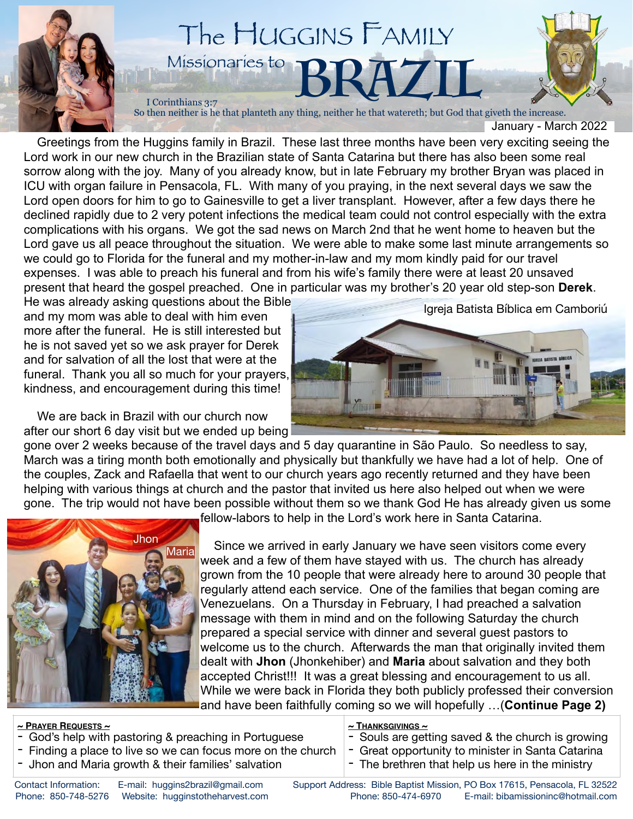

 Greetings from the Huggins family in Brazil. These last three months have been very exciting seeing the Lord work in our new church in the Brazilian state of Santa Catarina but there has also been some real sorrow along with the joy. Many of you already know, but in late February my brother Bryan was placed in ICU with organ failure in Pensacola, FL. With many of you praying, in the next several days we saw the Lord open doors for him to go to Gainesville to get a liver transplant. However, after a few days there he declined rapidly due to 2 very potent infections the medical team could not control especially with the extra complications with his organs. We got the sad news on March 2nd that he went home to heaven but the Lord gave us all peace throughout the situation. We were able to make some last minute arrangements so we could go to Florida for the funeral and my mother-in-law and my mom kindly paid for our travel expenses. I was able to preach his funeral and from his wife's family there were at least 20 unsaved present that heard the gospel preached. One in particular was my brother's 20 year old step-son **Derek**.

He was already asking questions about the Bible and my mom was able to deal with him even more after the funeral. He is still interested but he is not saved yet so we ask prayer for Derek and for salvation of all the lost that were at the funeral. Thank you all so much for your prayers, kindness, and encouragement during this time!

 We are back in Brazil with our church now after our short 6 day visit but we ended up being Igreja Batista Bíblica em Camboriú



gone over 2 weeks because of the travel days and 5 day quarantine in São Paulo. So needless to say, March was a tiring month both emotionally and physically but thankfully we have had a lot of help. One of the couples, Zack and Rafaella that went to our church years ago recently returned and they have been helping with various things at church and the pastor that invited us here also helped out when we were gone. The trip would not have been possible without them so we thank God He has already given us some



fellow-labors to help in the Lord's work here in Santa Catarina.

 Since we arrived in early January we have seen visitors come every week and a few of them have stayed with us. The church has already grown from the 10 people that were already here to around 30 people that regularly attend each service. One of the families that began coming are Venezuelans. On a Thursday in February, I had preached a salvation message with them in mind and on the following Saturday the church prepared a special service with dinner and several guest pastors to welcome us to the church. Afterwards the man that originally invited them dealt with **Jhon** (Jhonkehiber) and **Maria** about salvation and they both accepted Christ!!! It was a great blessing and encouragement to us all. While we were back in Florida they both publicly professed their conversion and have been faithfully coming so we will hopefully …(**Continue Page 2)**

## **~ PRAYER REQUESTS ~**

- God's help with pastoring & preaching in Portuguese
- Finding a place to live so we can focus more on the church
- Jhon and Maria growth & their families' salvation

## **~ THANKSGIVINGS ~**

- Souls are getting saved & the church is growing
- Great opportunity to minister in Santa Catarina
- The brethren that help us here in the ministry